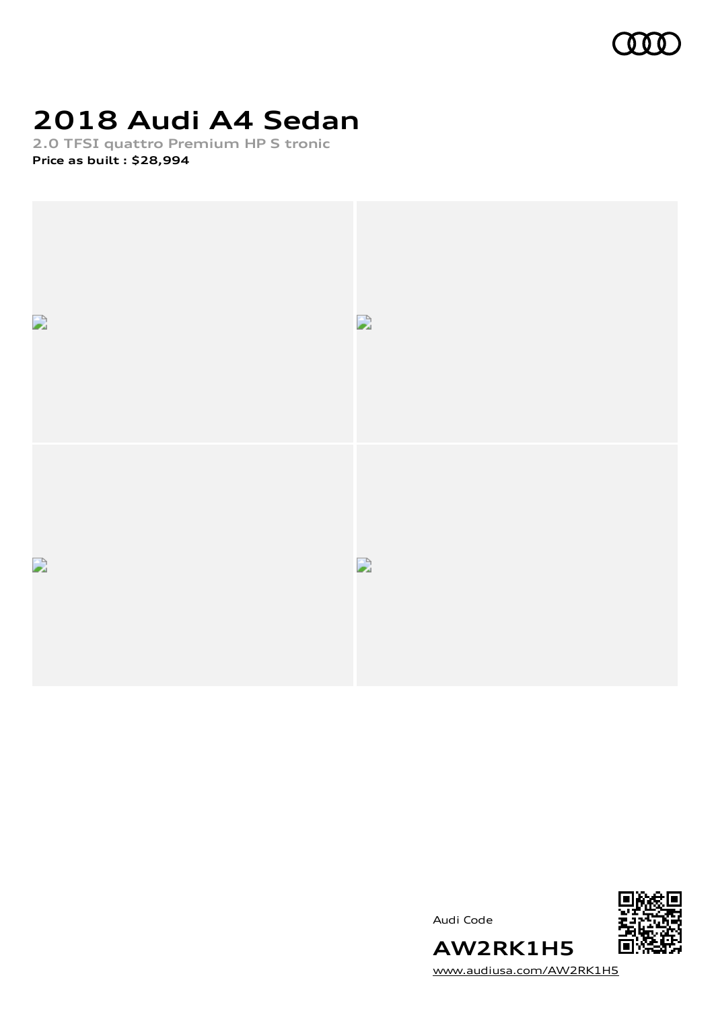

# **2018 Audi A4 Sedan**

**2.0 TFSI quattro Premium HP S tronic Price as built [:](#page-11-0) \$28,994**



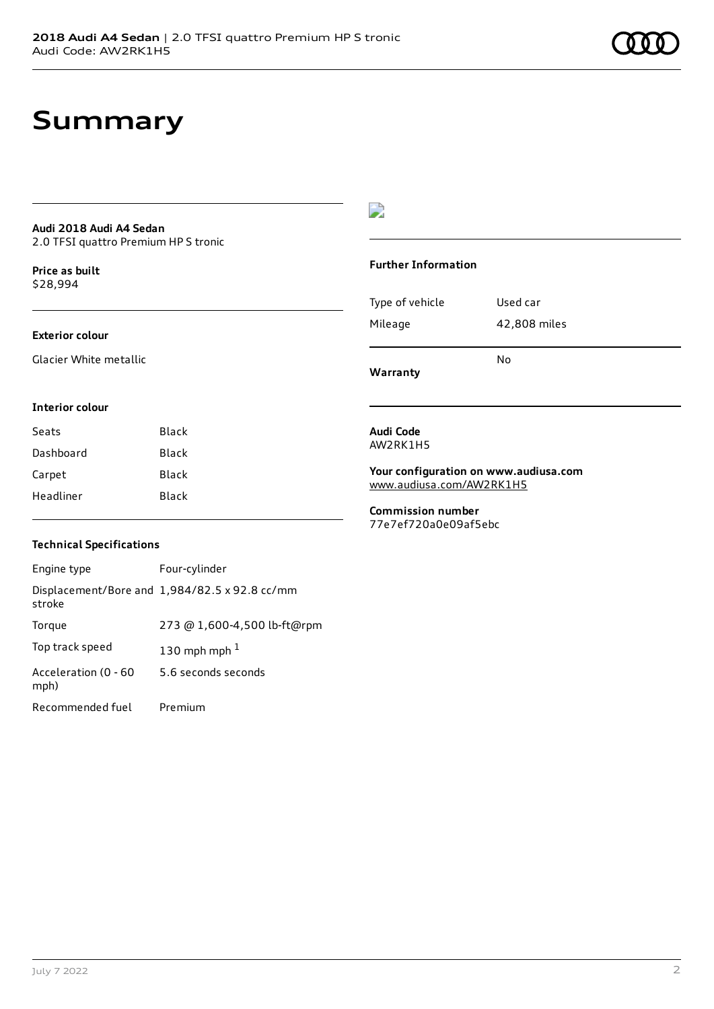### **Summary**

#### **Audi 2018 Audi A4 Sedan** 2.0 TFSI quattro Premium HP S tronic

**Price as buil[t](#page-11-0)**

### \$28,994

#### **Exterior colour**

Glacier White metallic

### $\overline{\phantom{a}}$

#### **Further Information**

| Warranty        |              |
|-----------------|--------------|
|                 | N٥           |
| Mileage         | 42,808 miles |
| Type of vehicle | Used car     |
|                 |              |

#### **Interior colour**

| Seats     | Black |
|-----------|-------|
| Dashboard | Black |
| Carpet    | Black |
| Headliner | Black |

#### **Audi Code** AW2RK1H5

**Your configuration on www.audiusa.com** [www.audiusa.com/AW2RK1H5](https://www.audiusa.com/AW2RK1H5)

**Commission number** 77e7ef720a0e09af5ebc

#### **Technical Specifications**

| Engine type                  | Four-cylinder                                 |
|------------------------------|-----------------------------------------------|
| stroke                       | Displacement/Bore and 1,984/82.5 x 92.8 cc/mm |
| Torque                       | 273 @ 1,600-4,500 lb-ft@rpm                   |
| Top track speed              | 130 mph mph $1$                               |
| Acceleration (0 - 60<br>mph) | 5.6 seconds seconds                           |
| Recommended fuel             | Premium                                       |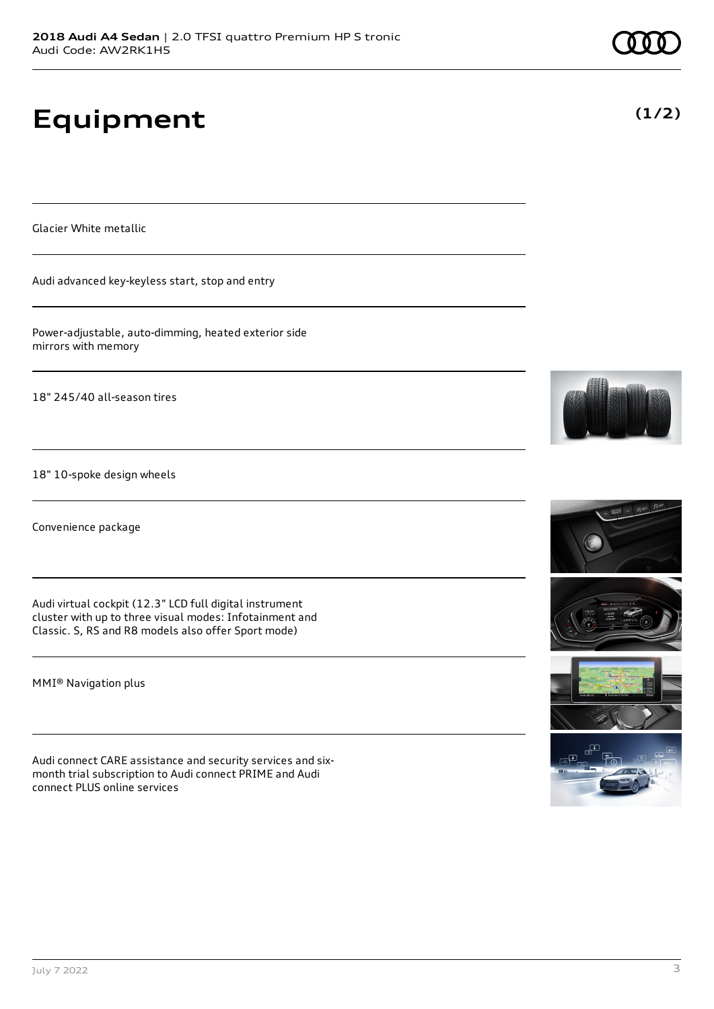# **Equipment**

Glacier White metallic

Audi advanced key-keyless start, stop and entry

Power-adjustable, auto-dimming, heated exterior side mirrors with memory

18" 245/40 all-season tires

18" 10-spoke design wheels

Convenience package

Audi virtual cockpit (12.3" LCD full digital instrument cluster with up to three visual modes: Infotainment and Classic. S, RS and R8 models also offer Sport mode)

MMI® Navigation plus

Audi connect CARE assistance and security services and sixmonth trial subscription to Audi connect PRIME and Audi connect PLUS online services











**(1/2)**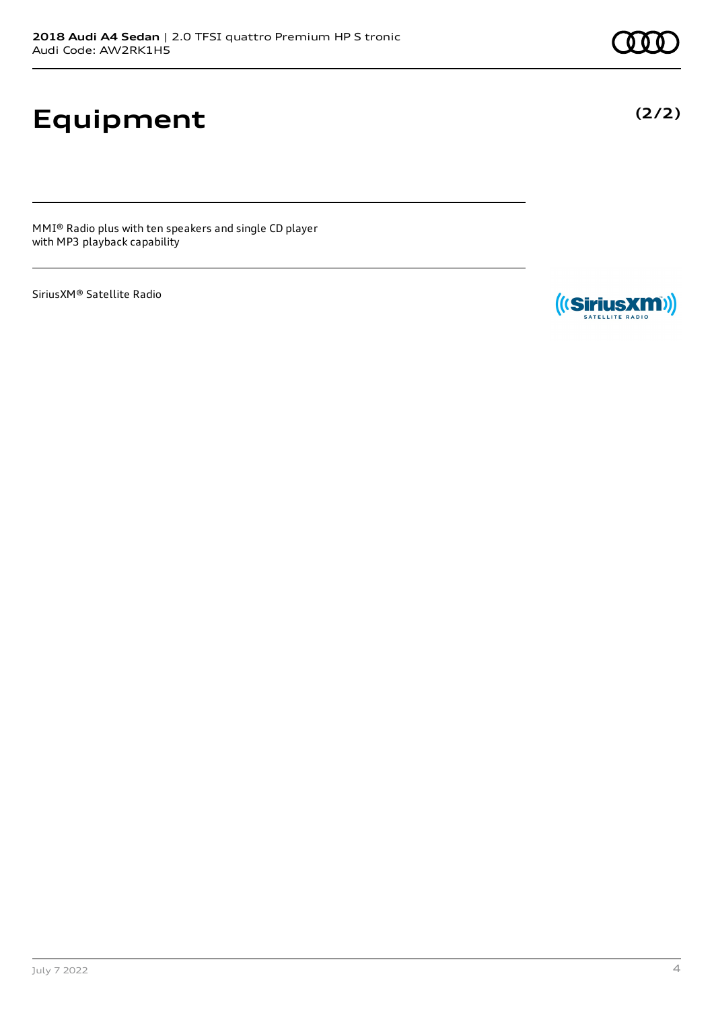# **Equipment**

MMI® Radio plus with ten speakers and single CD player with MP3 playback capability

SiriusXM® Satellite Radio



**(2/2)**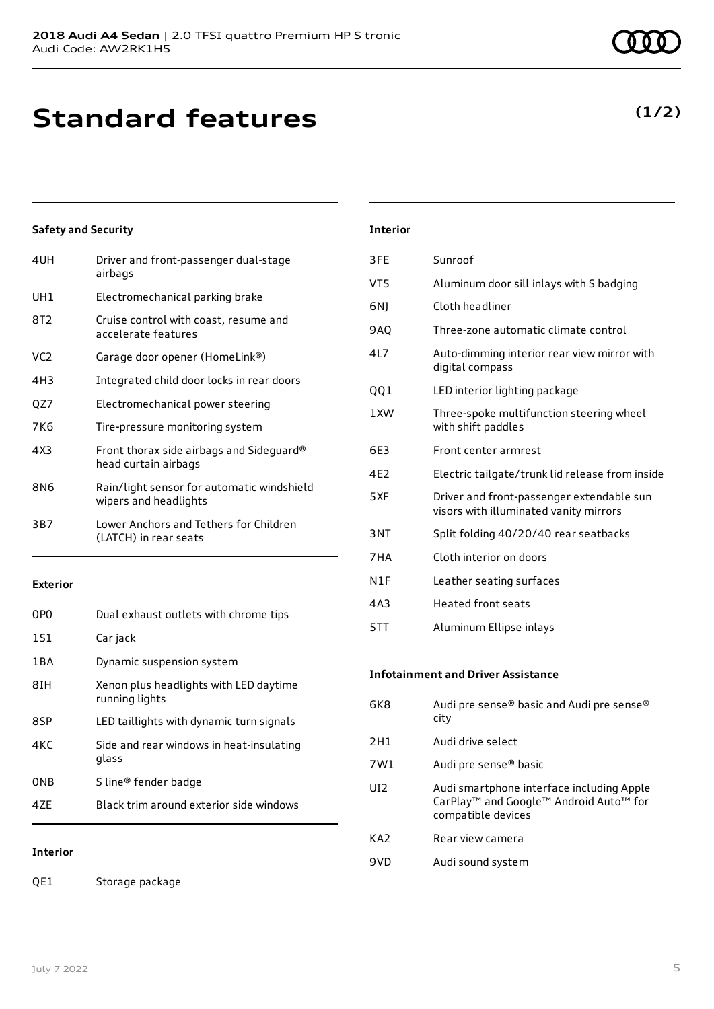## **Standard features**

### **Safety and Security**

| 4UH | Driver and front-passenger dual-stage<br>airbags                    |
|-----|---------------------------------------------------------------------|
| UH1 | Electromechanical parking brake                                     |
| 8T2 | Cruise control with coast, resume and<br>accelerate features        |
| VC2 | Garage door opener (HomeLink®)                                      |
| 4H3 | Integrated child door locks in rear doors                           |
| QZ7 | Electromechanical power steering                                    |
| 7K6 | Tire-pressure monitoring system                                     |
| 4X3 | Front thorax side airbags and Sideguard®<br>head curtain airbags    |
| 8N6 | Rain/light sensor for automatic windshield<br>wipers and headlights |
| 3B7 | Lower Anchors and Tethers for Children<br>(LATCH) in rear seats     |
|     |                                                                     |

#### **Exterior**

| 0PO   | Dual exhaust outlets with chrome tips                    |
|-------|----------------------------------------------------------|
| 1S1   | Car jack                                                 |
| 1 B A | Dynamic suspension system                                |
| 8IH   | Xenon plus headlights with LED daytime<br>running lights |
| 8SP   | LED taillights with dynamic turn signals                 |
| 4KC   | Side and rear windows in heat-insulating<br>glass        |
| 0NB   | S line® fender badge                                     |
| 47F   | Black trim around exterior side windows                  |

### **Interior**

QE1 Storage package

|            | Interior |
|------------|----------|
| dual-stage | 3FE      |

| 3FE        | Sunroof                                                                             |
|------------|-------------------------------------------------------------------------------------|
| VT5        | Aluminum door sill inlays with S badging                                            |
| 6N)        | Cloth headliner                                                                     |
| <b>9AO</b> | Three-zone automatic climate control                                                |
| 4L7        | Auto-dimming interior rear view mirror with<br>digital compass                      |
| QQ1        | LED interior lighting package                                                       |
| 1 XW       | Three-spoke multifunction steering wheel<br>with shift paddles                      |
| 6F3        | Front center armrest                                                                |
| 4E2        | Electric tailgate/trunk lid release from inside                                     |
| 5XF        | Driver and front-passenger extendable sun<br>visors with illuminated vanity mirrors |
| 3NT        | Split folding 40/20/40 rear seatbacks                                               |
| 7HA        | Cloth interior on doors                                                             |
| N1F        | Leather seating surfaces                                                            |
| 4A3        | Heated front seats                                                                  |
| 5TT        | Aluminum Ellipse inlays                                                             |
|            |                                                                                     |

#### **Infotainment and Driver Assistance**

| 6K8             | Audi pre sense® basic and Audi pre sense®<br>city                                                                                 |
|-----------------|-----------------------------------------------------------------------------------------------------------------------------------|
| 2H1             | Audi drive select                                                                                                                 |
| 7W1             | Audi pre sense <sup>®</sup> basic                                                                                                 |
| UI <sub>2</sub> | Audi smartphone interface including Apple<br>CarPlay <sup>™</sup> and Google™ Android Auto <sup>™</sup> for<br>compatible devices |
| KA <sub>2</sub> | Rear view camera                                                                                                                  |
| 9VD             | Audi sound system                                                                                                                 |

### **(1/2)**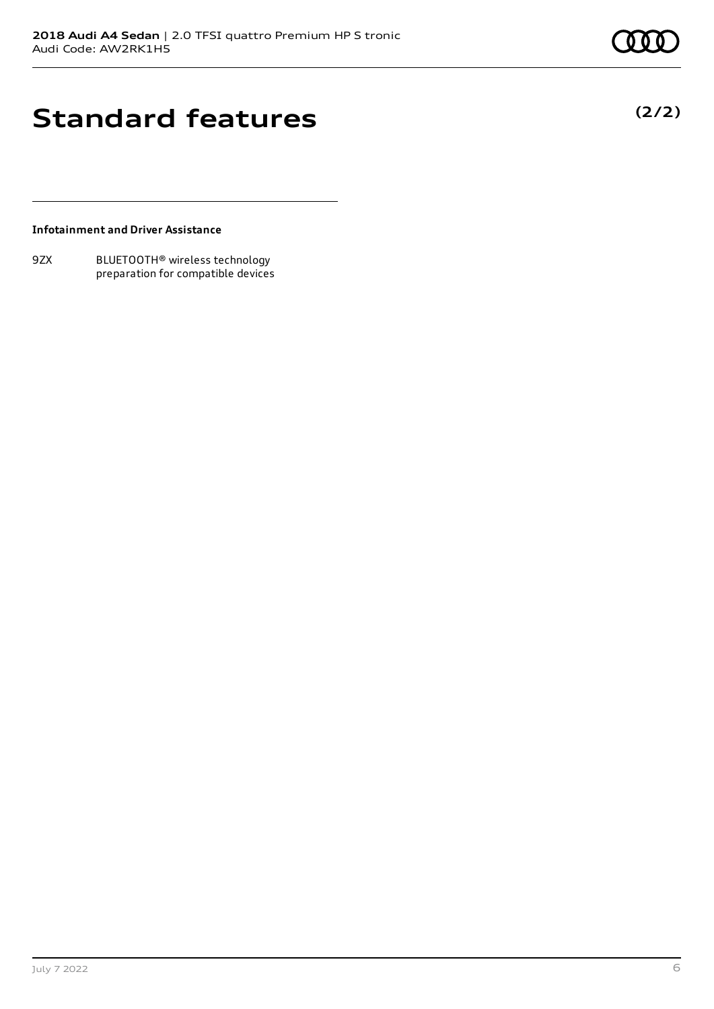**(2/2)**

### **Standard features**

**Infotainment and Driver Assistance**

9ZX BLUETOOTH® wireless technology preparation for compatible devices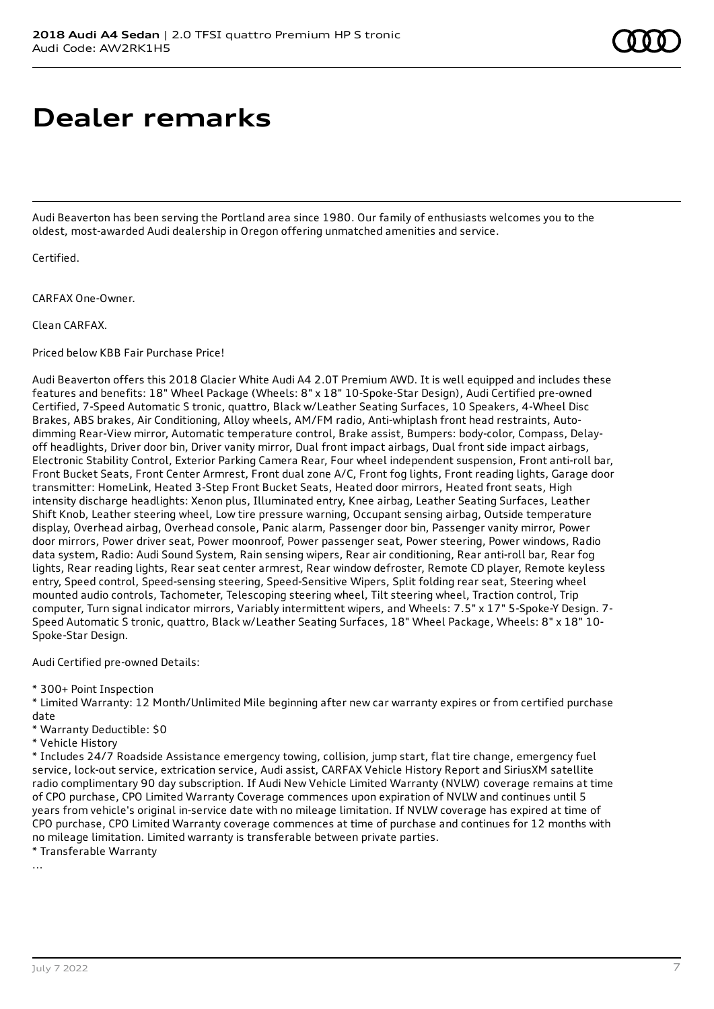### **Dealer remarks**

Audi Beaverton has been serving the Portland area since 1980. Our family of enthusiasts welcomes you to the oldest, most-awarded Audi dealership in Oregon offering unmatched amenities and service.

Certified.

CARFAX One-Owner.

Clean CARFAX.

Priced below KBB Fair Purchase Price!

Audi Beaverton offers this 2018 Glacier White Audi A4 2.0T Premium AWD. It is well equipped and includes these features and benefits: 18" Wheel Package (Wheels: 8" x 18" 10-Spoke-Star Design), Audi Certified pre-owned Certified, 7-Speed Automatic S tronic, quattro, Black w/Leather Seating Surfaces, 10 Speakers, 4-Wheel Disc Brakes, ABS brakes, Air Conditioning, Alloy wheels, AM/FM radio, Anti-whiplash front head restraints, Autodimming Rear-View mirror, Automatic temperature control, Brake assist, Bumpers: body-color, Compass, Delayoff headlights, Driver door bin, Driver vanity mirror, Dual front impact airbags, Dual front side impact airbags, Electronic Stability Control, Exterior Parking Camera Rear, Four wheel independent suspension, Front anti-roll bar, Front Bucket Seats, Front Center Armrest, Front dual zone A/C, Front fog lights, Front reading lights, Garage door transmitter: HomeLink, Heated 3-Step Front Bucket Seats, Heated door mirrors, Heated front seats, High intensity discharge headlights: Xenon plus, Illuminated entry, Knee airbag, Leather Seating Surfaces, Leather Shift Knob, Leather steering wheel, Low tire pressure warning, Occupant sensing airbag, Outside temperature display, Overhead airbag, Overhead console, Panic alarm, Passenger door bin, Passenger vanity mirror, Power door mirrors, Power driver seat, Power moonroof, Power passenger seat, Power steering, Power windows, Radio data system, Radio: Audi Sound System, Rain sensing wipers, Rear air conditioning, Rear anti-roll bar, Rear fog lights, Rear reading lights, Rear seat center armrest, Rear window defroster, Remote CD player, Remote keyless entry, Speed control, Speed-sensing steering, Speed-Sensitive Wipers, Split folding rear seat, Steering wheel mounted audio controls, Tachometer, Telescoping steering wheel, Tilt steering wheel, Traction control, Trip computer, Turn signal indicator mirrors, Variably intermittent wipers, and Wheels: 7.5" x 17" 5-Spoke-Y Design. 7- Speed Automatic S tronic, quattro, Black w/Leather Seating Surfaces, 18" Wheel Package, Wheels: 8" x 18" 10- Spoke-Star Design.

Audi Certified pre-owned Details:

\* 300+ Point Inspection

\* Limited Warranty: 12 Month/Unlimited Mile beginning after new car warranty expires or from certified purchase date

\* Warranty Deductible: \$0

\* Vehicle History

\* Includes 24/7 Roadside Assistance emergency towing, collision, jump start, flat tire change, emergency fuel service, lock-out service, extrication service, Audi assist, CARFAX Vehicle History Report and SiriusXM satellite radio complimentary 90 day subscription. If Audi New Vehicle Limited Warranty (NVLW) coverage remains at time of CPO purchase, CPO Limited Warranty Coverage commences upon expiration of NVLW and continues until 5 years from vehicle's original in-service date with no mileage limitation. If NVLW coverage has expired at time of CPO purchase, CPO Limited Warranty coverage commences at time of purchase and continues for 12 months with no mileage limitation. Limited warranty is transferable between private parties.

\* Transferable Warranty

...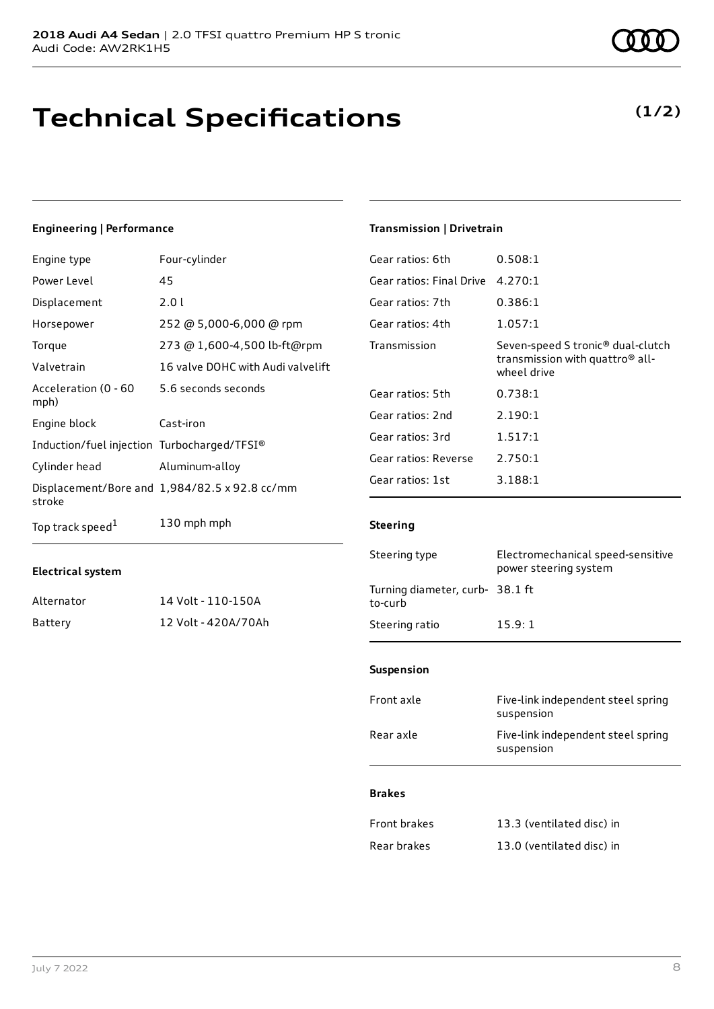### **Technical Specifications**

### **Engineering | Performance**

| Engine type                                 | Four-cylinder                                 |
|---------------------------------------------|-----------------------------------------------|
| Power Level                                 | 45                                            |
| Displacement                                | 2.01                                          |
| Horsepower                                  | 252 @ 5,000-6,000 @ rpm                       |
| Torque                                      | 273 @ 1,600-4,500 lb-ft@rpm                   |
| Valvetrain                                  | 16 valve DOHC with Audi valvelift             |
| Acceleration (0 - 60<br>mph)                | 5.6 seconds seconds                           |
| Engine block                                | Cast-iron                                     |
| Induction/fuel injection Turbocharged/TFSI® |                                               |
| Cylinder head                               | Aluminum-alloy                                |
| stroke                                      | Displacement/Bore and 1,984/82.5 x 92.8 cc/mm |
| Top track speed <sup>1</sup>                | 130 mph mph                                   |

#### **Electrical system**

| Alternator | 14 Volt - 110-150A  |
|------------|---------------------|
| Battery    | 12 Volt - 420A/70Ah |

### **Transmission | Drivetrain**

| Gear ratios: 6th         | 0.508:1                                                                                                     |
|--------------------------|-------------------------------------------------------------------------------------------------------------|
| Gear ratios: Final Drive | 4.270:1                                                                                                     |
| Gear ratios: 7th         | 0.386:1                                                                                                     |
| Gear ratios: 4th         | 1.057:1                                                                                                     |
| Transmission             | Seven-speed S tronic <sup>®</sup> dual-clutch<br>transmission with quattro <sup>®</sup> all-<br>wheel drive |
| Gear ratios: 5th         | 0.738:1                                                                                                     |
| Gear ratios: 2nd         | 2.190:1                                                                                                     |
| Gear ratios: 3rd         | 1.517:1                                                                                                     |
| Gear ratios: Reverse     | 2.750:1                                                                                                     |
| Gear ratios: 1st         | 3.188:1                                                                                                     |
|                          |                                                                                                             |

#### **Steering**

| Steering type                              | Electromechanical speed-sensitive<br>power steering system |
|--------------------------------------------|------------------------------------------------------------|
| Turning diameter, curb- 38.1 ft<br>to-curb |                                                            |
| Steering ratio                             | 15.9:1                                                     |

#### **Suspension**

| Front axle | Five-link independent steel spring<br>suspension |
|------------|--------------------------------------------------|
| Rear axle  | Five-link independent steel spring<br>suspension |
|            |                                                  |

### **Brakes**

| <b>Front brakes</b> | 13.3 (ventilated disc) in |
|---------------------|---------------------------|
| Rear brakes         | 13.0 (ventilated disc) in |

### **(1/2)**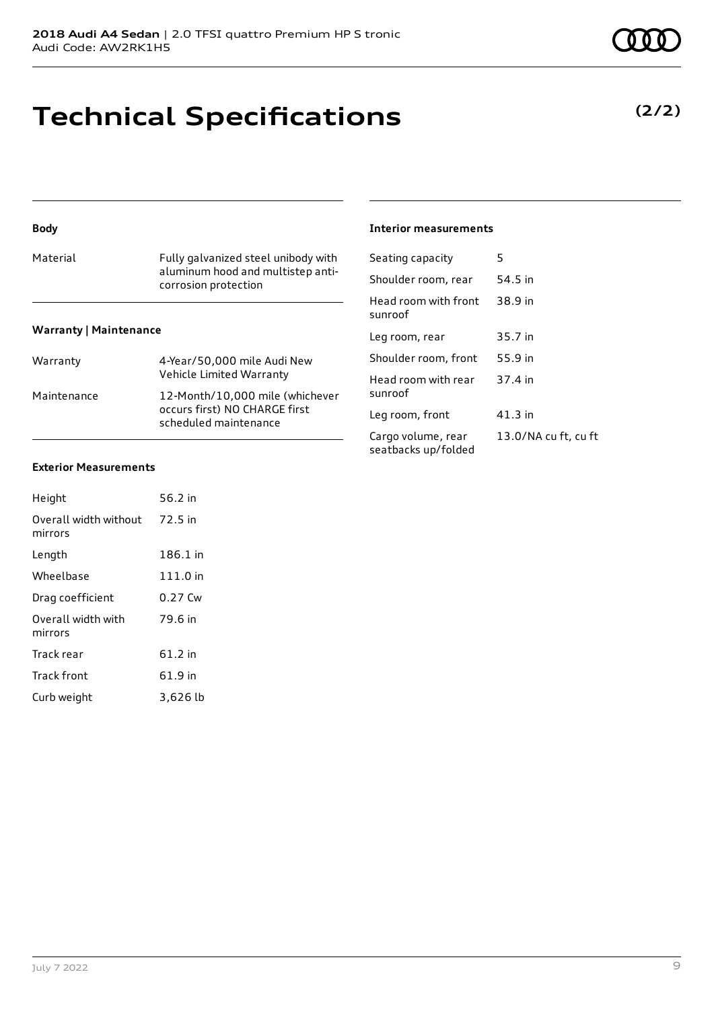# **Technical Specifications**

#### Material Fully galvanized steel unibody with aluminum hood and multistep anticorrosion protection **Warranty | Maintenance** Warranty 4-Year/50,000 mile Audi New Vehicle Limited Warranty Maintenance 12-Month/10,000 mile (whichever occurs first) NO CHARGE first scheduled maintenance Seating capacity 5 Shoulder room, rear 54.5 in Head room with front sunroof 38.9 in Leg room, rear 35.7 in Shoulder room, front 55.9 in Head room with rear sunroof 37.4 in Leg room, front 41.3 in Cargo volume, rear seatbacks up/folded

### **Exterior Measurements**

**Body**

| Height                           | 56.2 in  |
|----------------------------------|----------|
| Overall width without<br>mirrors | 72.5 in  |
| Length                           | 186.1 in |
| Wheelbase                        | 111.0 in |
| Drag coefficient                 | 0.27 Cw  |
| Overall width with<br>mirrors    | 79.6 in  |
| Track rear                       | 61.2 in  |
| Track front                      | 61.9 in  |
| Curb weight                      | 3,626 lb |

### **Interior measurements**

| Seating capacity                          | 5                    |
|-------------------------------------------|----------------------|
| Shoulder room, rear                       | 54.5 in              |
| Head room with front<br>sunroof           | 38.9 in              |
| Leg room, rear                            | 35.7 in              |
| Shoulder room. front                      | 55.9 in              |
| Head room with rear<br>sunroof            | 37.4 in              |
| Leg room, front                           | 41.3 in              |
| Cargo volume, rear<br>seatbacks up/folded | 13.0/NA cu ft, cu ft |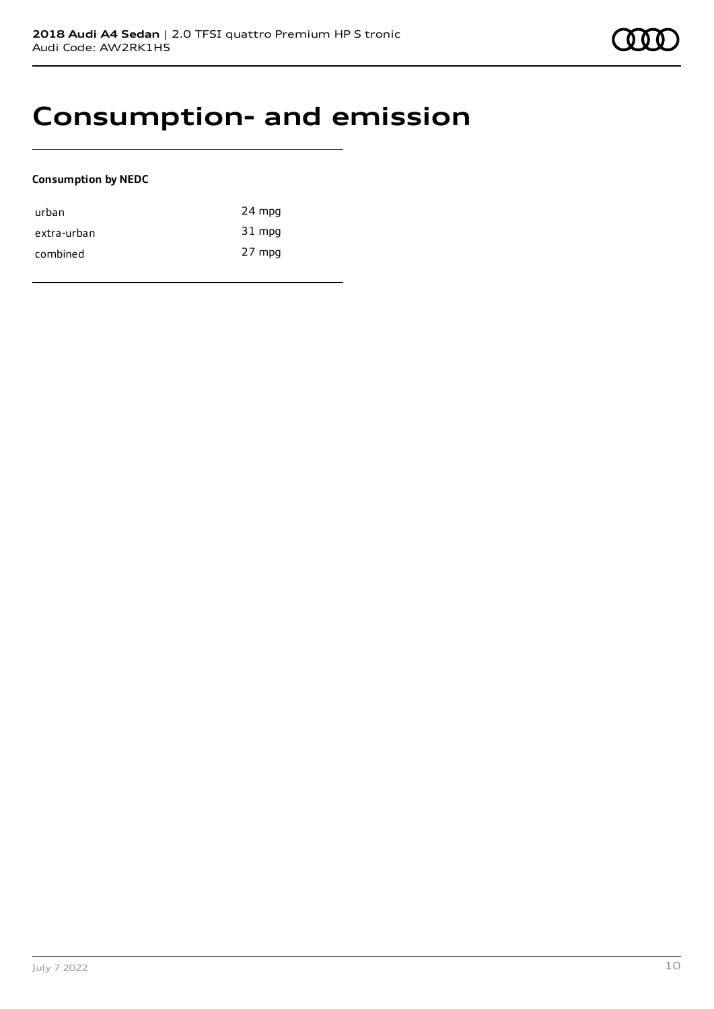## **Consumption- and emission**

### **Consumption by NEDC**

| urban       | 24 mpg   |
|-------------|----------|
| extra-urban | 31 mpg   |
| combined    | $27$ mpg |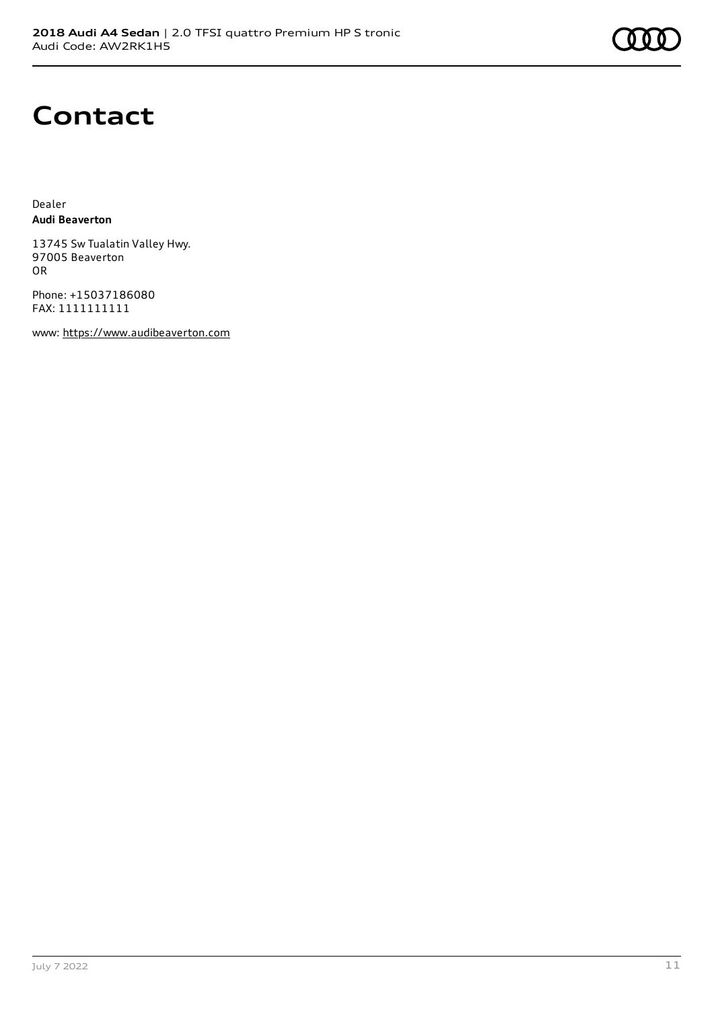

### **Contact**

Dealer **Audi Beaverton**

13745 Sw Tualatin Valley Hwy. 97005 Beaverton OR

Phone: +15037186080 FAX: 1111111111

www: [https://www.audibeaverton.com](https://www.audibeaverton.com/)